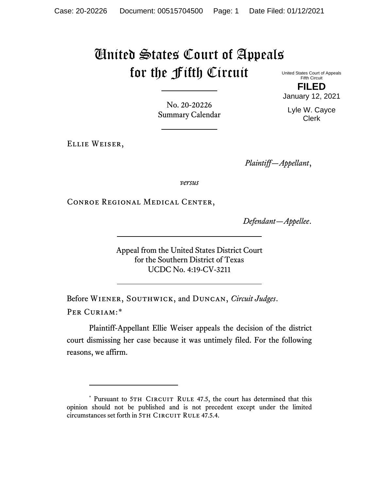# United States Court of Appeals for the Fifth Circuit

United States Court of Appeals Fifth Circuit **FILED**

January 12, 2021

Lyle W. Cayce Clerk

No. 20-20226 Summary Calendar

Ellie Weiser,

*Plaintiff—Appellant*,

*versus*

Conroe Regional Medical Center,

*Defendant—Appellee*.

Appeal from the United States District Court for the Southern District of Texas UCDC No. 4:19-CV-3211

Before Wiener, Southwick, and Duncan, *Circuit Judges*. Per Curiam:[\\*](#page-0-0)

Plaintiff-Appellant Ellie Weiser appeals the decision of the district court dismissing her case because it was untimely filed. For the following reasons, we affirm.

<span id="page-0-0"></span><sup>\*</sup> Pursuant to 5TH CIRCUIT RULE 47.5, the court has determined that this opinion should not be published and is not precedent except under the limited circumstances set forth in 5TH CIRCUIT RULE 47.5.4.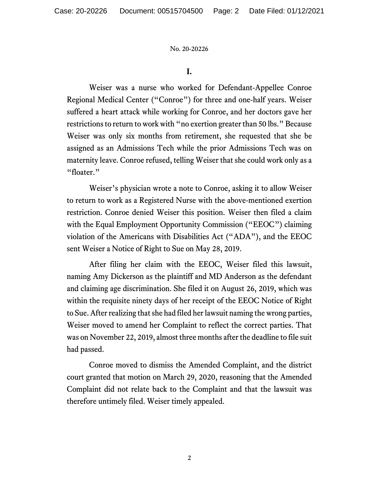**I.**

Weiser was a nurse who worked for Defendant-Appellee Conroe Regional Medical Center ("Conroe") for three and one-half years. Weiser suffered a heart attack while working for Conroe, and her doctors gave her restrictions to return to work with "no exertion greater than 50 lbs." Because Weiser was only six months from retirement, she requested that she be assigned as an Admissions Tech while the prior Admissions Tech was on maternity leave. Conroe refused, telling Weiser that she could work only as a "floater."

Weiser's physician wrote a note to Conroe, asking it to allow Weiser to return to work as a Registered Nurse with the above-mentioned exertion restriction. Conroe denied Weiser this position. Weiser then filed a claim with the Equal Employment Opportunity Commission ("EEOC") claiming violation of the Americans with Disabilities Act ("ADA"), and the EEOC sent Weiser a Notice of Right to Sue on May 28, 2019.

After filing her claim with the EEOC, Weiser filed this lawsuit, naming Amy Dickerson as the plaintiff and MD Anderson as the defendant and claiming age discrimination. She filed it on August 26, 2019, which was within the requisite ninety days of her receipt of the EEOC Notice of Right to Sue. After realizing that she had filed her lawsuit naming the wrong parties, Weiser moved to amend her Complaint to reflect the correct parties. That was on November 22, 2019, almost three months after the deadline to file suit had passed.

Conroe moved to dismiss the Amended Complaint, and the district court granted that motion on March 29, 2020, reasoning that the Amended Complaint did not relate back to the Complaint and that the lawsuit was therefore untimely filed. Weiser timely appealed.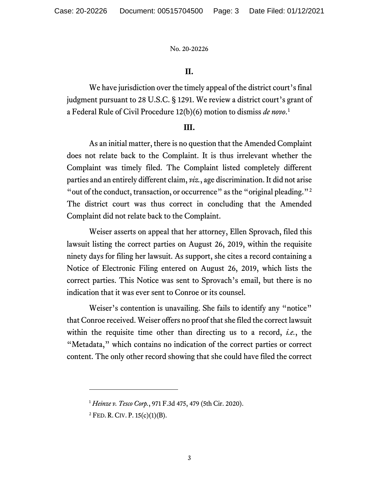## **II.**

We have jurisdiction over the timely appeal of the district court's final judgment pursuant to 28 U.S.C. § 1291. We review a district court's grant of a Federal Rule of Civil Procedure 12(b)(6) motion to dismiss *de novo*. [1](#page-2-0)

### **III.**

As an initial matter, there is no question that the Amended Complaint does not relate back to the Complaint. It is thus irrelevant whether the Complaint was timely filed. The Complaint listed completely different parties and an entirely different claim, *viz.*, age discrimination. It did not arise "out of the conduct, transaction, or occurrence" as the "original pleading."<sup>[2](#page-2-1)</sup> The district court was thus correct in concluding that the Amended Complaint did not relate back to the Complaint.

Weiser asserts on appeal that her attorney, Ellen Sprovach, filed this lawsuit listing the correct parties on August 26, 2019, within the requisite ninety days for filing her lawsuit. As support, she cites a record containing a Notice of Electronic Filing entered on August 26, 2019, which lists the correct parties. This Notice was sent to Sprovach's email, but there is no indication that it was ever sent to Conroe or its counsel.

Weiser's contention is unavailing. She fails to identify any "notice" that Conroe received. Weiser offers no proof that she filed the correct lawsuit within the requisite time other than directing us to a record, *i.e.*, the "Metadata," which contains no indication of the correct parties or correct content. The only other record showing that she could have filed the correct

<span id="page-2-0"></span><sup>1</sup> *Heinze v. Tesco Corp.*, 971 F.3d 475, 479 (5th Cir. 2020).

<span id="page-2-1"></span> $2$  FED. R. CIV. P. 15(c)(1)(B).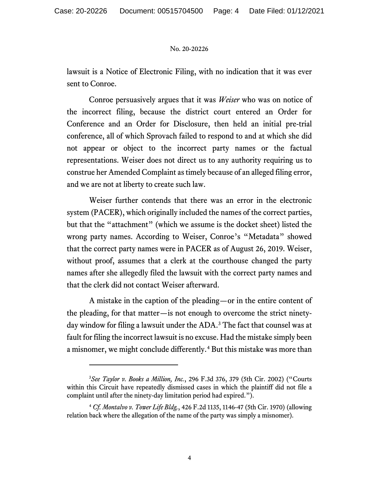lawsuit is a Notice of Electronic Filing, with no indication that it was ever sent to Conroe.

Conroe persuasively argues that it was *Weiser* who was on notice of the incorrect filing, because the district court entered an Order for Conference and an Order for Disclosure, then held an initial pre-trial conference, all of which Sprovach failed to respond to and at which she did not appear or object to the incorrect party names or the factual representations. Weiser does not direct us to any authority requiring us to construe her Amended Complaint as timely because of an alleged filing error, and we are not at liberty to create such law.

Weiser further contends that there was an error in the electronic system (PACER), which originally included the names of the correct parties, but that the "attachment" (which we assume is the docket sheet) listed the wrong party names. According to Weiser, Conroe's "Metadata" showed that the correct party names were in PACER as of August 26, 2019. Weiser, without proof, assumes that a clerk at the courthouse changed the party names after she allegedly filed the lawsuit with the correct party names and that the clerk did not contact Weiser afterward.

A mistake in the caption of the pleading—or in the entire content of the pleading, for that matter—is not enough to overcome the strict ninetyday window for filing a lawsuit under the ADA. [3](#page-3-0) The fact that counsel was at fault for filing the incorrect lawsuit is no excuse. Had the mistake simply been a misnomer, we might conclude differently.<sup>[4](#page-3-1)</sup> But this mistake was more than

<span id="page-3-0"></span><sup>3</sup> *See Taylor v. Books a Million, Inc.*, 296 F.3d 376, 379 (5th Cir. 2002) ("Courts within this Circuit have repeatedly dismissed cases in which the plaintiff did not file a complaint until after the ninety-day limitation period had expired.").

<span id="page-3-1"></span><sup>4</sup> *Cf. Montalvo v. Tower Life Bldg.*, 426 F.2d 1135, 1146-47 (5th Cir. 1970) (allowing relation back where the allegation of the name of the party was simply a misnomer).